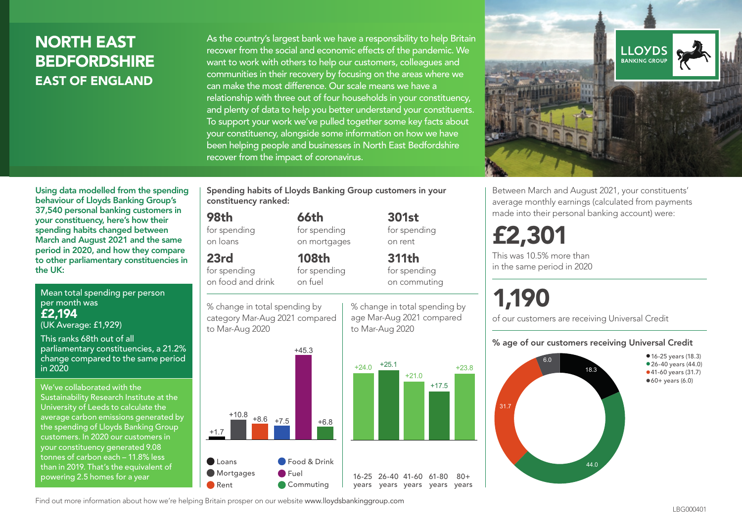## NORTH EAST **BEDFORDSHIRE** EAST OF ENGLAND

As the country's largest bank we have a responsibility to help Britain recover from the social and economic effects of the pandemic. We want to work with others to help our customers, colleagues and communities in their recovery by focusing on the areas where we can make the most difference. Our scale means we have a relationship with three out of four households in your constituency, and plenty of data to help you better understand your constituents. To support your work we've pulled together some key facts about your constituency, alongside some information on how we have been helping people and businesses in North East Bedfordshire recover from the impact of coronavirus.



Between March and August 2021, your constituents' average monthly earnings (calculated from payments made into their personal banking account) were:

## £2,301

This was 10.5% more than in the same period in 2020

# 1,190

+23.8

 $80 +$ 

of our customers are receiving Universal Credit

#### % age of our customers receiving Universal Credit



Mean total spending per person per month was to other parliamentary constituencies in the UK:

£2,194 (UK Average: £1,929)

This ranks 68th out of all parliamentary constituencies, a 21.2% change compared to the same period in 2020

Using data modelled from the spending behaviour of Lloyds Banking Group's 37,540 personal banking customers in your constituency, here's how their spending habits changed between March and August 2021 and the same period in 2020, and how they compare

We've collaborated with the Sustainability Research Institute at the University of Leeds to calculate the average carbon emissions generated by the spending of Lloyds Banking Group customers. In 2020 our customers in your constituency generated 9.08 tonnes of carbon each – 11.8% less than in 2019. That's the equivalent of powering 2.5 homes for a year

Spending habits of Lloyds Banking Group customers in your constituency ranked:

> 301st for spending on rent

311th for spending on commuting

66th for spending on mortgages

108th for spending on fuel

#### 98th

for spending on loans

## 23rd

for spending on food and drink

% change in total spending by category Mar-Aug 2021 compared to Mar-Aug 2020



% change in total spending by age Mar-Aug 2021 compared